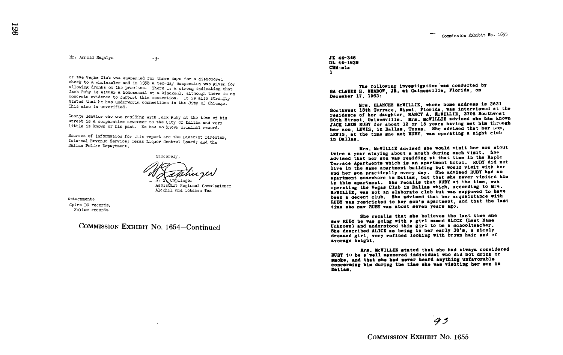Mr . Arnold Sagalyn

 $-3-$ 

of the Vegas Club was suspended for three days for a dishonored<br>check to a wholesaler and in 1958 a ten-days maspersion was given for<br>allowing drunks on the premises. There is a strong indication that<br>Jack Ruby is stiffned hinted that he has underworld connections in the City of Chicago. This also is unverified.

George Senator who was residing with Jack Ruby at the time of his arrest is a comparative newcomer to the City of Dallas and very little is known of his past. He has no known criminal record.

Sources of information for this report are the District Director. Internal Revenue Service; Texas Liquor Control Board; and the Dallas Police Department.

Sincerely,

Caplinger

Asslst3ct Regional Commissioner Alcohol end Tobacco Tax

Attachments Cpies DD records, Police records

COMMISSION EXHIBIT NO. 1654-Continued

JE 44-348 DL 44-1839 CRU:sla 1

The following investigation'was conducted by SA CLAUDE H. MEADOW. JR. at Gainesville, Florida, on December 17, 1903 :

Mrs, BLANCHE McNILLIE, whose home address to 3831 Southwest 18th Terrace, Miami, Florida, was interviewed at the residence of her daughter, NANCY A. McWILLIE, 3705 Southwest 20th Street, Gainesville. Mrs. McWILLIE advised she has known JACK LEON RUBY for about 12 or 15 years having met him through her son, LEWIS, in Dallas, Texas. She advised that her non. LEWIS, at the time she met RUBY, was operating a night club in Dmllas .

Mrs . MCIIILLIR advised she would visit bar son about twice a year staying about a month during each visit. She advised that her son was residing at that time in the Maple Terrace Apartments which is an apartment hotel . RUBY did not live in the same apartment building but would visit with her and her son practically every day. She advised RUBY had an apartment somewhere in Dallas, but that she never visited him<br>in this apartment. She recalls that RUBY at the time, was<br>the was the boost Club in Dallas which according to Mrs. operating the Vegas Club In Dallas which, according to Mrs. McWILLIE, was not an elaborate club but was supposed to have<br>been a decent club. She advised that her acquaintance with been a decent club. She advised that her acquaintance with<br>RUBY was restricted to her son's apartment, and that the last<br>Ally the computer of the son's apple and the son's time she saw RUBY was about seven years ago.

She recalls that she believes the last time she saw RUBY he was going with a girl named ALICE (last Name Unknown) and understood this girl to be a schoolteacher . She described ALICE as being in her early 30's, a nicely dressed girl, very refined looking with brown heir and of average height .

Mrs, Mc"ILLIE stated that she had always considered RUBY to be a'we11 mannered individual who did not drink or smote, and that she had never beard anything unfavorable conceraimg him during the time she was visiting her son is Dallas .

 $9<sub>3</sub>$ 

COMMISSION EXHIBIT NO. 1655